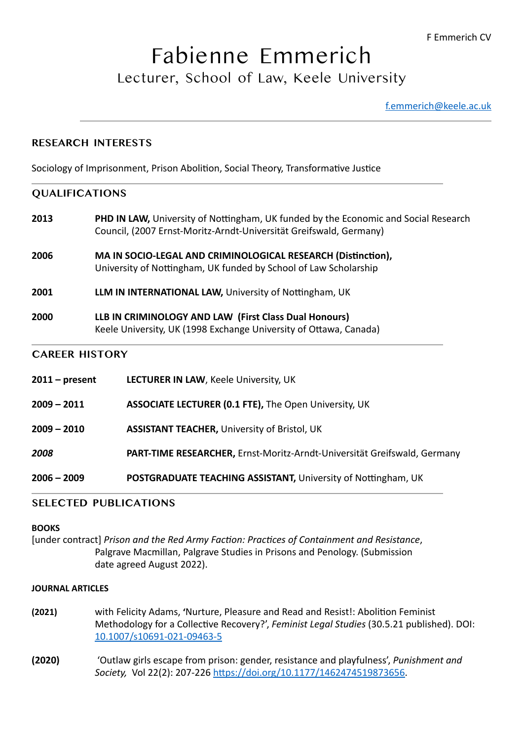**F** Emmerich CV

# Fabienne Emmerich Lecturer, School of Law, Keele University

[f.emmerich@keele.ac.uk](mailto:f.emmerich@keele.ac.uk)

## **RESEARCH INTERESTS**

Sociology of Imprisonment, Prison Abolition, Social Theory, Transformative Justice

## **QUALIFICATIONS**

- **2013** PHD IN LAW, University of Nottingham, UK funded by the Economic and Social Research Council, (2007 Ernst-Moritz-Arndt-Universität Greifswald, Germany)
- **2006** MA IN SOCIO-LEGAL AND CRIMINOLOGICAL RESEARCH (Distinction). University of Nottingham, UK funded by School of Law Scholarship
- **2001 LLM IN INTERNATIONAL LAW, University of Nottingham, UK**
- **2000 LLB IN CRIMINOLOGY AND LAW (First Class Dual Honours)** Keele University, UK (1998 Exchange University of Ottawa, Canada)

## **CAREER HISTORY**

- **2011 present LECTURER IN LAW, Keele University, UK**
- **2009 2011 ASSOCIATE LECTURER (0.1 FTE),** The Open University, UK
- **2009 2010 ASSISTANT TEACHER, University of Bristol, UK**
- **2008 PART-TIME RESEARCHER,** Ernst-Moritz-Arndt-Universität Greifswald, Germany
- **2006 2009 POSTGRADUATE TEACHING ASSISTANT, University of Nottingham, UK**

#### **SELECTED PUBLICATIONS**

#### **BOOKS**

[under contract] Prison and the Red Army Faction: Practices of Containment and Resistance, Palgrave Macmillan, Palgrave Studies in Prisons and Penology. (Submission date agreed August 2022).

#### **JOURNAL ARTICLES**

- **(2021)** with Felicity Adams, 'Nurture, Pleasure and Read and Resist!: Abolition Feminist Methodology for a Collective Recovery?', *Feminist Legal Studies* (30.5.21 published). DOI: [10.1007/s10691-021-09463-5](http://10.1007/s10691-021-09463-5)
- **(2020)**  'Outlaw girls escape from prison: gender, resistance and playfulness', *Punishment and*  Society, Vol 22(2): 207-226 [https://doi.org/10.1177/1462474519873656.](https://doi.org/10.1177%252F1462474519873656)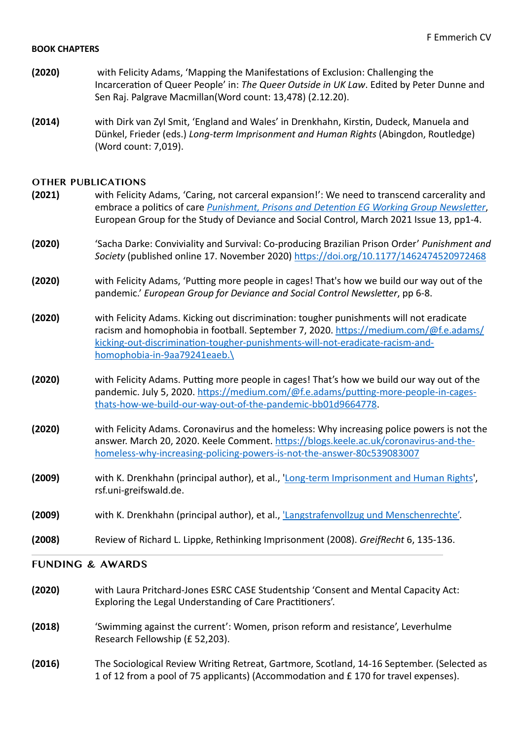#### **BOOK CHAPTERS**

- **(2020)** with Felicity Adams, 'Mapping the Manifestations of Exclusion: Challenging the Incarceration of Queer People' in: The Queer Outside in UK Law. Edited by Peter Dunne and Sen Raj. Palgrave Macmillan(Word count: 13,478) (2.12.20).
- **(2014)** with Dirk van Zyl Smit, 'England and Wales' in Drenkhahn, Kirstin, Dudeck, Manuela and Dünkel, Frieder (eds.) *Long-term Imprisonment and Human Rights* (Abingdon, Routledge) (Word count: 7,019).

#### **OTHER PUBLICATIONS**

- **(2021)** with Felicity Adams, 'Caring, not carceral expansion!': We need to transcend carcerality and embrace a politics of care *Punishment, Prisons and Detention EG Working Group Newsletter*, European Group for the Study of Deviance and Social Control, March 2021 Issue 13, pp1-4.
- **(2020)** Sacha Darke: Conviviality and Survival: Co-producing Brazilian Prison Order' *Punishment and Society* (published online 17. November 2020) [https://doi.org/10.1177/1462474520972468](https://doi.org/10.1177%252F1462474520972468)
- **(2020)** with Felicity Adams, 'Putting more people in cages! That's how we build our way out of the pandemic.' *European Group for Deviance and Social Control Newsletter*, pp 6-8.
- **(2020)** with Felicity Adams. Kicking out discrimination: tougher punishments will not eradicate racism and homophobia in football. September 7, 2020. https://medium.com/@f.e.adams/ [kicking-out-discrimination-tougher-punishments-will-not-eradicate-racism-and](https://medium.com/@f.e.adams/kicking-out-discrimination-tougher-punishments-will-not-eradicate-racism-and-homophobia-in-9aa79241eaeb./)[homophobia-in-9aa79241eaeb.\](https://medium.com/@f.e.adams/kicking-out-discrimination-tougher-punishments-will-not-eradicate-racism-and-homophobia-in-9aa79241eaeb./)
- **(2020)** with Felicity Adams. Putting more people in cages! That's how we build our way out of the pandemic. July 5, 2020. https://medium.com/@f.e.adams/putting-more-people-in-cages[thats-how-we-build-our-way-out-of-the-pandemic-bb01d9664778.](https://medium.com/@f.e.adams/putting-more-people-in-cages-thats-how-we-build-our-way-out-of-the-pandemic-bb01d9664778)
- **(2020)** with Felicity Adams. Coronavirus and the homeless: Why increasing police powers is not the answer. March 20, 2020. Keele Comment. https://blogs.keele.ac.uk/coronavirus-and-the[homeless-why-increasing-policing-powers-is-not-the-answer-80c539083007](https://blogs.keele.ac.uk/coronavirus-and-the-homeless-why-increasing-policing-powers-is-not-the-answer-80c539083007)
- **(2009)** with K. Drenkhahn (principal author), et al., 'Long-term Imprisonment and Human Rights', rsf.uni-greifswald.de.
- **(2009)** with K. Drenkhahn (principal author), et al., 'Langstrafenvollzug und Menschenrechte'.
- **(2008)** Review of Richard L. Lippke, Rethinking Imprisonment (2008). *GreifRecht* 6, 135-136.

## **FUNDING & AWARDS**

- **(2020)** with Laura Pritchard-Jones ESRC CASE Studentship 'Consent and Mental Capacity Act: Exploring the Legal Understanding of Care Practitioners'.
- **(2018)** 'Swimming against the current': Women, prison reform and resistance', Leverhulme Research Fellowship (£ 52,203).
- **(2016)** The Sociological Review Writing Retreat, Gartmore, Scotland, 14-16 September. (Selected as 1 of 12 from a pool of 75 applicants) (Accommodation and  $E$  170 for travel expenses).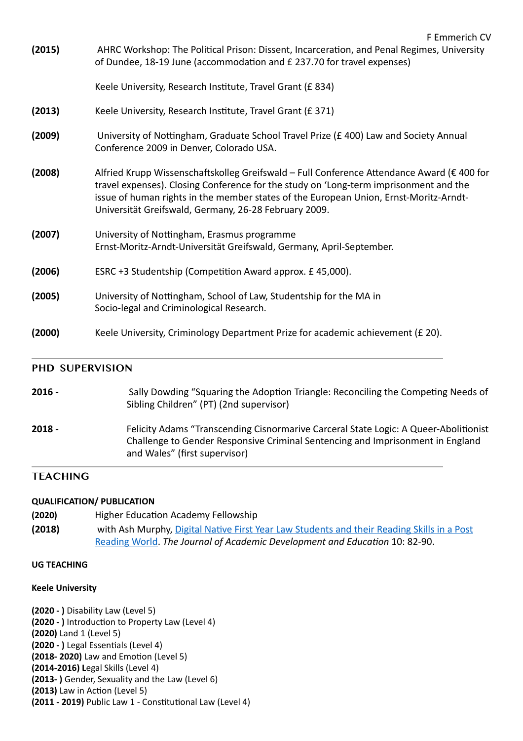| (2000) | Keele University, Criminology Department Prize for academic achievement (£ 20).                                                                                                                                                                                                                                                       |  |
|--------|---------------------------------------------------------------------------------------------------------------------------------------------------------------------------------------------------------------------------------------------------------------------------------------------------------------------------------------|--|
| (2005) | University of Nottingham, School of Law, Studentship for the MA in<br>Socio-legal and Criminological Research.                                                                                                                                                                                                                        |  |
| (2006) | ESRC +3 Studentship (Competition Award approx. £45,000).                                                                                                                                                                                                                                                                              |  |
| (2007) | University of Nottingham, Erasmus programme<br>Ernst-Moritz-Arndt-Universität Greifswald, Germany, April-September.                                                                                                                                                                                                                   |  |
| (2008) | Alfried Krupp Wissenschaftskolleg Greifswald - Full Conference Attendance Award (€ 400 for<br>travel expenses). Closing Conference for the study on 'Long-term imprisonment and the<br>issue of human rights in the member states of the European Union, Ernst-Moritz-Arndt-<br>Universität Greifswald, Germany, 26-28 February 2009. |  |
| (2009) | University of Nottingham, Graduate School Travel Prize (£400) Law and Society Annual<br>Conference 2009 in Denver, Colorado USA.                                                                                                                                                                                                      |  |
| (2013) | Keele University, Research Institute, Travel Grant (£ 371)                                                                                                                                                                                                                                                                            |  |
|        | Keele University, Research Institute, Travel Grant (£834)                                                                                                                                                                                                                                                                             |  |
| (2015) | AHRC Workshop: The Political Prison: Dissent, Incarceration, and Penal Regimes, University<br>of Dundee, 18-19 June (accommodation and £ 237.70 for travel expenses)                                                                                                                                                                  |  |

#### **PHD SUPERVISION**

| $2016 -$ | Sally Dowding "Squaring the Adoption Triangle: Reconciling the Competing Needs of<br>Sibling Children" (PT) (2nd supervisor)                                                                            |
|----------|---------------------------------------------------------------------------------------------------------------------------------------------------------------------------------------------------------|
| 2018 -   | Felicity Adams "Transcending Cisnormarive Carceral State Logic: A Queer-Abolitionist<br>Challenge to Gender Responsive Criminal Sentencing and Imprisonment in England<br>and Wales" (first supervisor) |

## **TEACHING**

#### **QUALIFICATION/ PUBLICATION**

- **(2020)** Higher Education Academy Fellowship
- **(2018) with Ash Murphy, Digital Native First Year Law Students and their Reading Skills in a Post** Reading World. The Journal of Academic Development and Education 10: 82-90.

## **UG TEACHING**

#### **Keele University**

**(2020 - )** Disability Law (Level 5) **(2020 - )** Introduction to Property Law (Level 4) **(2020)** Land 1 (Level 5) **(2020 - )** Legal Essentials (Level 4) **(2018- 2020)** Law and Emotion (Level 5) **(2014-2016)** Legal Skills (Level 4) **(2013-**) Gender, Sexuality and the Law (Level 6) **(2013)** Law in Action (Level 5) **(2011 - 2019)** Public Law 1 - Constitutional Law (Level 4)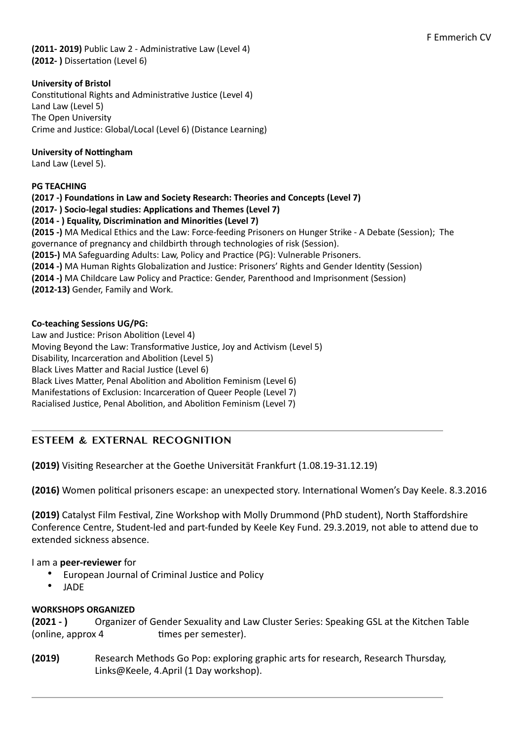**(2011- 2019)** Public Law 2 - Administrative Law (Level 4) **(2012-** ) Dissertation (Level 6)

## **University of Bristol**

Constitutional Rights and Administrative Justice (Level 4) Land Law (Level 5) The Open University Crime and Justice: Global/Local (Level 6) (Distance Learning)

#### **University of Nottingham**

Land Law (Level 5).

#### **PG TEACHING**

**(2017 -) Foundations in Law and Society Research: Theories and Concepts (Level 7)**

**(2017-)** Socio-legal studies: Applications and Themes (Level 7)

## (2014 - ) Equality, Discrimination and Minorities (Level 7)

**(2015** -) MA Medical Ethics and the Law: Force-feeding Prisoners on Hunger Strike - A Debate (Session); The governance of pregnancy and childbirth through technologies of risk (Session). **(2015-)** MA Safeguarding Adults: Law, Policy and Practice (PG): Vulnerable Prisoners.

**(2014 -)** MA Human Rights Globalization and Justice: Prisoners' Rights and Gender Identity (Session)

**(2014 -)** MA Childcare Law Policy and Practice: Gender, Parenthood and Imprisonment (Session)

**(2012-13)** Gender, Family and Work.

#### **Co-teaching Sessions UG/PG:**

Law and Justice: Prison Abolition (Level 4) Moving Beyond the Law: Transformative Justice, Joy and Activism (Level 5) Disability, Incarceration and Abolition (Level 5) Black Lives Matter and Racial Justice (Level 6) Black Lives Matter, Penal Abolition and Abolition Feminism (Level 6) Manifestations of Exclusion: Incarceration of Queer People (Level 7) Racialised Justice, Penal Abolition, and Abolition Feminism (Level 7)

## **ESTEEM & EXTERNAL RECOGNITION**

**(2019)** Visiting Researcher at the Goethe Universität Frankfurt (1.08.19-31.12.19)

**(2016)** Women political prisoners escape: an unexpected story. International Women's Day Keele. 8.3.2016

**(2019)** Catalyst Film Festival, Zine Workshop with Molly Drummond (PhD student), North Staffordshire Conference Centre, Student-led and part-funded by Keele Key Fund. 29.3.2019, not able to attend due to extended sickness absence.

#### I am a **peer-reviewer** for

- European Journal of Criminal Justice and Policy
- JADE

#### **WORKSHOPS ORGANIZED**

**(2021 - )** Organizer of Gender Sexuality and Law Cluster Series: Speaking GSL at the Kitchen Table (online, approx 4 bimes per semester).

**(2019)** Research Methods Go Pop: exploring graphic arts for research, Research Thursday, Links@Keele, 4.April (1 Day workshop).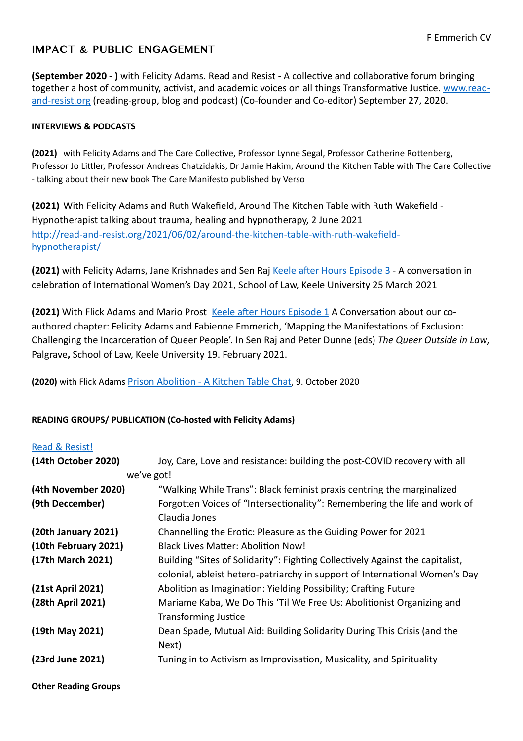## **IMPACT & PUBLIC ENGAGEMENT**

**(September 2020 - )** with Felicity Adams. Read and Resist - A collective and collaborative forum bringing together a host of community, activist, and academic voices on all things Transformative Justice. www.read[and-resist.org](http://www.read-and-resist.org) (reading-group, blog and podcast) (Co-founder and Co-editor) September 27, 2020.

#### **INTERVIEWS & PODCASTS**

**(2021)** with Felicity Adams and The Care Collective, Professor Lynne Segal, Professor Catherine Rottenberg, Professor Jo Littler, Professor Andreas Chatzidakis, Dr Jamie Hakim, Around the Kitchen Table with The Care Collective - talking about their new book The Care Manifesto published by Verso

**(2021)** With Felicity Adams and Ruth Wakefield, Around The Kitchen Table with Ruth Wakefield -Hypnotherapist talking about trauma, healing and hypnotherapy, 2 June 2021 [http://read-and-resist.org/2021/06/02/around-the-kitchen-table-with-ruth-wakefield](http://read-and-resist.org/2021/06/02/around-the-kitchen-table-with-ruth-wakefield-hypnotherapist/)[hypnotherapist/](http://read-and-resist.org/2021/06/02/around-the-kitchen-table-with-ruth-wakefield-hypnotherapist/)

**(2021)** with Felicity Adams, Jane Krishnades and Sen Raj Keele after Hours Episode 3 - A conversation in celebration of International Women's Day 2021, School of Law, Keele University 25 March 2021

**(2021)** With Flick Adams and Mario Prost Keele after Hours Episode 1 A Conversation about our coauthored chapter: Felicity Adams and Fabienne Emmerich, 'Mapping the Manifestations of Exclusion: Challenging the Incarceration of Queer People'. In Sen Raj and Peter Dunne (eds) The Queer Outside in Law, Palgrave, School of Law, Keele University 19. February 2021.

**(2020)** with Flick Adams Prison Abolition - A Kitchen Table Chat, 9. October 2020

#### **READING GROUPS/ PUBLICATION (Co-hosted with Felicity Adams)**

#### [Read & Resist!](https://read-and-resist.org/read-and-resist-2/)

| (14th October 2020)  | Joy, Care, Love and resistance: building the post-COVID recovery with all        |
|----------------------|----------------------------------------------------------------------------------|
|                      | we've got!                                                                       |
| (4th November 2020)  | "Walking While Trans": Black feminist praxis centring the marginalized           |
| (9th Deccember)      | Forgotten Voices of "Intersectionality": Remembering the life and work of        |
|                      | Claudia Jones                                                                    |
| (20th January 2021)  | Channelling the Erotic: Pleasure as the Guiding Power for 2021                   |
| (10th February 2021) | Black Lives Matter: Abolition Now!                                               |
| (17th March 2021)    | Building "Sites of Solidarity": Fighting Collectively Against the capitalist,    |
|                      | colonial, ableist hetero-patriarchy in support of International Women's Day      |
| (21st April 2021)    | Abolition as Imagination: Yielding Possibility; Crafting Future                  |
| (28th April 2021)    | Mariame Kaba, We Do This 'Til We Free Us: Abolitionist Organizing and            |
|                      | <b>Transforming Justice</b>                                                      |
| (19th May 2021)      | Dean Spade, Mutual Aid: Building Solidarity During This Crisis (and the<br>Next) |
| (23rd June 2021)     | Tuning in to Activism as Improvisation, Musicality, and Spirituality             |

**Other Reading Groups**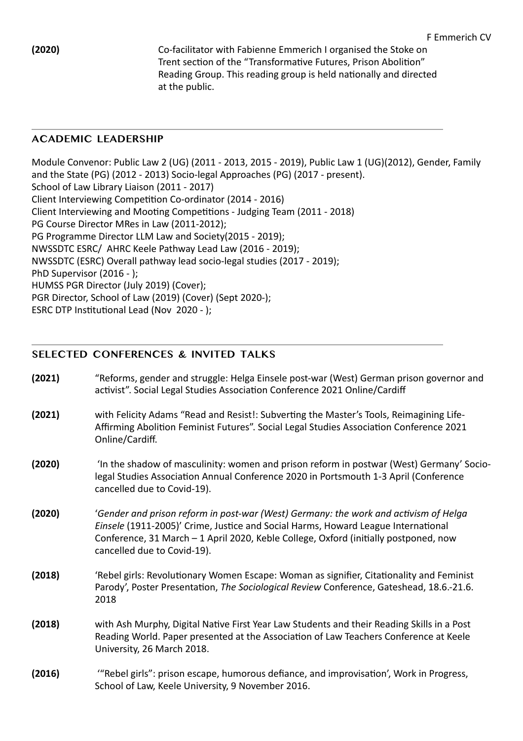**(2020) Co-facilitator with Fabienne Emmerich I organised the Stoke on** Trent section of the "Transformative Futures, Prison Abolition" Reading Group. This reading group is held nationally and directed at the public.

## **ACADEMIC LEADERSHIP**

Module Convenor: Public Law 2 (UG) (2011 - 2013, 2015 - 2019), Public Law 1 (UG)(2012), Gender, Family and the State (PG) (2012 - 2013) Socio-legal Approaches (PG) (2017 - present). School of Law Library Liaison (2011 - 2017) Client Interviewing Competition Co-ordinator (2014 - 2016) Client Interviewing and Mooting Competitions - Judging Team (2011 - 2018) PG Course Director MRes in Law (2011-2012); PG Programme Director LLM Law and Society(2015 - 2019); NWSSDTC ESRC/ AHRC Keele Pathway Lead Law (2016 - 2019); NWSSDTC (ESRC) Overall pathway lead socio-legal studies (2017 - 2019); PhD Supervisor (2016 - ); HUMSS PGR Director (July 2019) (Cover); PGR Director, School of Law (2019) (Cover) (Sept 2020-); ESRC DTP Institutional Lead (Nov 2020 - );

# **SELECTED CONFERENCES & INVITED TALKS**

- **(2021)** "Reforms, gender and struggle: Helga Einsele post-war (West) German prison governor and activist". Social Legal Studies Association Conference 2021 Online/Cardiff
- **(2021)** with Felicity Adams "Read and Resist!: Subverting the Master's Tools, Reimagining Life-Affirming Abolition Feminist Futures". Social Legal Studies Association Conference 2021 Online/Cardiff.
- **(2020)** 'In the shadow of masculinity: women and prison reform in postwar (West) Germany' Sociolegal Studies Association Annual Conference 2020 in Portsmouth 1-3 April (Conference cancelled due to Covid-19).
- **(2020)** *'Gender and prison reform in post-war (West) Germany: the work and activism of Helga Einsele* (1911-2005)' Crime, Justice and Social Harms, Howard League International Conference, 31 March  $-1$  April 2020, Keble College, Oxford (initially postponed, now cancelled due to Covid-19).
- **(2018) Caucidat** 'Rebel girls: Revolutionary Women Escape: Woman as signifier, Citationality and Feminist Parody', Poster Presentation, *The Sociological Review* Conference, Gateshead, 18.6.-21.6. 2018
- **(2018)** with Ash Murphy, Digital Native First Year Law Students and their Reading Skills in a Post Reading World. Paper presented at the Association of Law Teachers Conference at Keele University, 26 March 2018.
- **(2016)** *'"Rebel girls": prison escape, humorous defiance, and improvisation', Work in Progress,* School of Law, Keele University, 9 November 2016.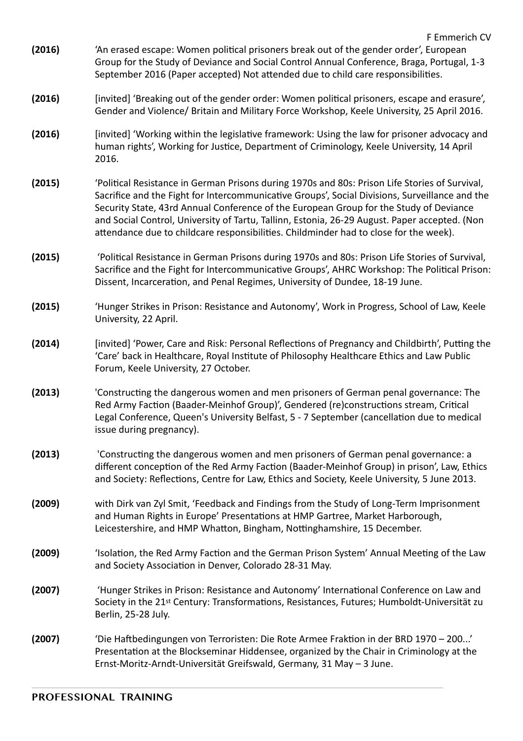- **(2016)** 'An erased escape: Women political prisoners break out of the gender order', European Group for the Study of Deviance and Social Control Annual Conference, Braga, Portugal, 1-3 September 2016 (Paper accepted) Not attended due to child care responsibilities.
- **(2016)** [invited] 'Breaking out of the gender order: Women political prisoners, escape and erasure', Gender and Violence/ Britain and Military Force Workshop, Keele University, 25 April 2016.
- **(2016)** [invited] 'Working within the legislative framework: Using the law for prisoner advocacy and human rights', Working for Justice, Department of Criminology, Keele University, 14 April 2016.
- **(2015)** 'Political Resistance in German Prisons during 1970s and 80s: Prison Life Stories of Survival, Sacrifice and the Fight for Intercommunicative Groups', Social Divisions, Surveillance and the Security State, 43rd Annual Conference of the European Group for the Study of Deviance and Social Control, University of Tartu, Tallinn, Estonia, 26-29 August. Paper accepted. (Non attendance due to childcare responsibilities. Childminder had to close for the week).
- **(2015)**  'Political Resistance in German Prisons during 1970s and 80s: Prison Life Stories of Survival, Sacrifice and the Fight for Intercommunicative Groups', AHRC Workshop: The Political Prison: Dissent, Incarceration, and Penal Regimes, University of Dundee, 18-19 June.
- **(2015)** 'Hunger Strikes in Prison: Resistance and Autonomy', Work in Progress, School of Law, Keele University, 22 April.
- **(2014)** [invited] 'Power, Care and Risk: Personal Reflections of Pregnancy and Childbirth', Putting the 'Care' back in Healthcare, Royal Institute of Philosophy Healthcare Ethics and Law Public Forum, Keele University, 27 October.
- **(2013)** Constructing the dangerous women and men prisoners of German penal governance: The Red Army Faction (Baader-Meinhof Group)', Gendered (re)constructions stream, Critical Legal Conference, Queen's University Belfast, 5 - 7 September (cancellation due to medical issue during pregnancy).
- **(2013)** Constructing the dangerous women and men prisoners of German penal governance: a different conception of the Red Army Faction (Baader-Meinhof Group) in prison', Law, Ethics and Society: Reflections, Centre for Law, Ethics and Society, Keele University, 5 June 2013.
- **(2009)** with Dirk van Zyl Smit, 'Feedback and Findings from the Study of Long-Term Imprisonment and Human Rights in Europe' Presentations at HMP Gartree, Market Harborough, Leicestershire, and HMP Whatton, Bingham, Nottinghamshire, 15 December.
- **(2009)** Sublation, the Red Army Faction and the German Prison System' Annual Meeting of the Law and Society Association in Denver, Colorado 28-31 May.
- **(2007)**  'Hunger Strikes in Prison: Resistance and Autonomy' International Conference on Law and Society in the 21<sup>st</sup> Century: Transformations, Resistances, Futures; Humboldt-Universität zu Berlin, 25-28 July.
- **(2007)** 'Die Haftbedingungen von Terroristen: Die Rote Armee Fraktion in der BRD 1970 200...' Presentation at the Blockseminar Hiddensee, organized by the Chair in Criminology at the Ernst-Moritz-Arndt-Universität Greifswald, Germany, 31 May  $-$  3 June.